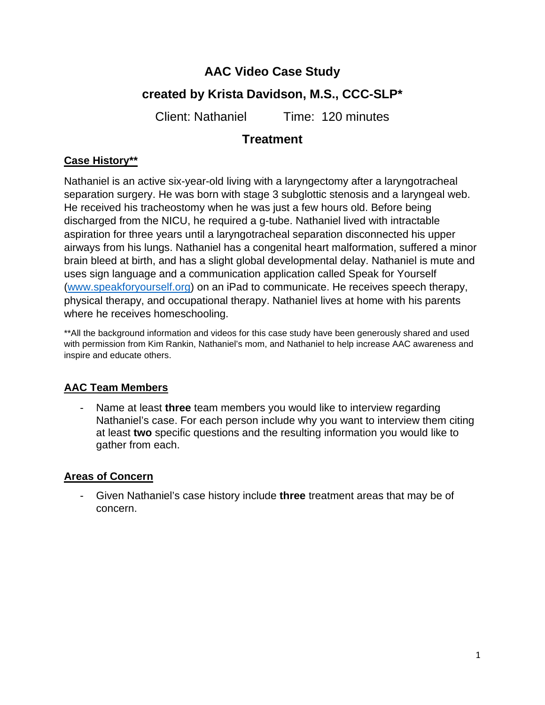# **AAC Video Case Study**

# **created by Krista Davidson, M.S., CCC-SLP\***

Client: Nathaniel Time: 120 minutes

# **Treatment**

# **Case History\*\***

Nathaniel is an active six-year-old living with a laryngectomy after a laryngotracheal separation surgery. He was born with stage 3 subglottic stenosis and a laryngeal web. He received his tracheostomy when he was just a few hours old. Before being discharged from the NICU, he required a g-tube. Nathaniel lived with intractable aspiration for three years until a laryngotracheal separation disconnected his upper airways from his lungs. Nathaniel has a congenital heart malformation, suffered a minor brain bleed at birth, and has a slight global developmental delay. Nathaniel is mute and uses sign language and a communication application called Speak for Yourself [\(www.speakforyourself.org\)](http://www.speakforyourself.org/) on an iPad to communicate. He receives speech therapy, physical therapy, and occupational therapy. Nathaniel lives at home with his parents where he receives homeschooling.

\*\*All the background information and videos for this case study have been generously shared and used with permission from Kim Rankin, Nathaniel's mom, and Nathaniel to help increase AAC awareness and inspire and educate others.

## **AAC Team Members**

- Name at least **three** team members you would like to interview regarding Nathaniel's case. For each person include why you want to interview them citing at least **two** specific questions and the resulting information you would like to gather from each.

## **Areas of Concern**

- Given Nathaniel's case history include **three** treatment areas that may be of concern.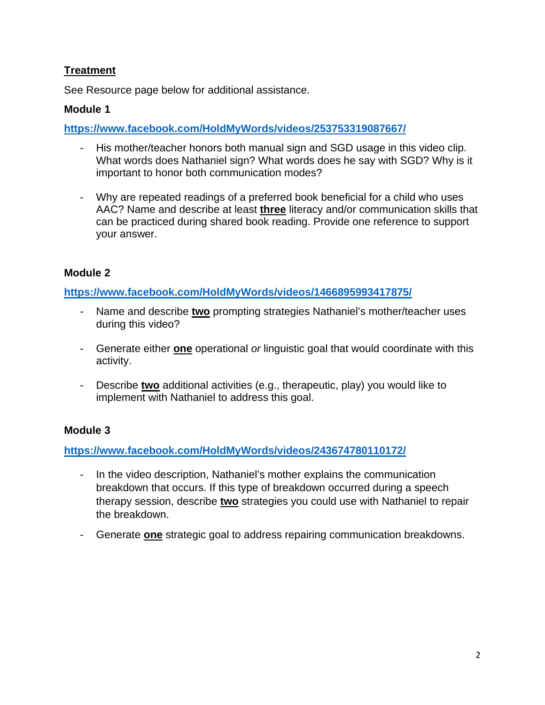### **Treatment**

See Resource page below for additional assistance.

#### **Module 1**

**<https://www.facebook.com/HoldMyWords/videos/253753319087667/>**

- His mother/teacher honors both manual sign and SGD usage in this video clip. What words does Nathaniel sign? What words does he say with SGD? Why is it important to honor both communication modes?
- Why are repeated readings of a preferred book beneficial for a child who uses AAC? Name and describe at least **three** literacy and/or communication skills that can be practiced during shared book reading. Provide one reference to support your answer.

#### **Module 2**

**<https://www.facebook.com/HoldMyWords/videos/1466895993417875/>**

- Name and describe **two** prompting strategies Nathaniel's mother/teacher uses during this video?
- Generate either **one** operational *or* linguistic goal that would coordinate with this activity.
- Describe **two** additional activities (e.g., therapeutic, play) you would like to implement with Nathaniel to address this goal.

#### **Module 3**

**<https://www.facebook.com/HoldMyWords/videos/243674780110172/>**

- In the video description, Nathaniel's mother explains the communication breakdown that occurs. If this type of breakdown occurred during a speech therapy session, describe **two** strategies you could use with Nathaniel to repair the breakdown.
- Generate **one** strategic goal to address repairing communication breakdowns.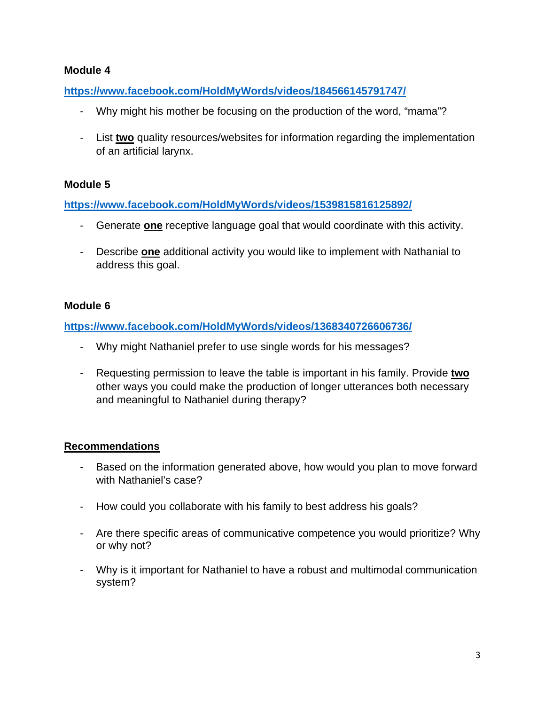#### **Module 4**

**<https://www.facebook.com/HoldMyWords/videos/184566145791747/>**

- Why might his mother be focusing on the production of the word, "mama"?
- List **two** quality resources/websites for information regarding the implementation of an artificial larynx.

#### **Module 5**

**<https://www.facebook.com/HoldMyWords/videos/1539815816125892/>**

- Generate **one** receptive language goal that would coordinate with this activity.
- Describe **one** additional activity you would like to implement with Nathanial to address this goal.

#### **Module 6**

**<https://www.facebook.com/HoldMyWords/videos/1368340726606736/>**

- Why might Nathaniel prefer to use single words for his messages?
- Requesting permission to leave the table is important in his family. Provide **two**  other ways you could make the production of longer utterances both necessary and meaningful to Nathaniel during therapy?

#### **Recommendations**

- Based on the information generated above, how would you plan to move forward with Nathaniel's case?
- How could you collaborate with his family to best address his goals?
- Are there specific areas of communicative competence you would prioritize? Why or why not?
- Why is it important for Nathaniel to have a robust and multimodal communication system?